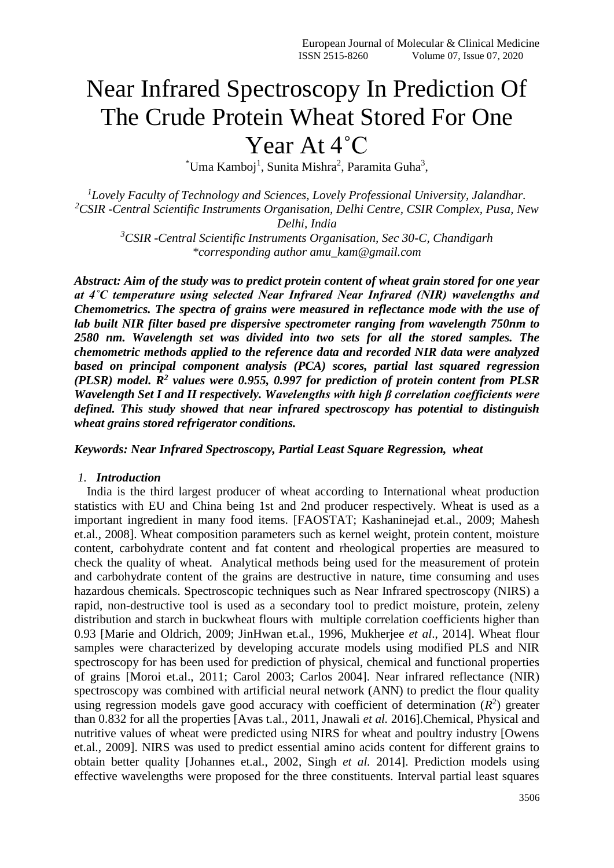# Near Infrared Spectroscopy In Prediction Of The Crude Protein Wheat Stored For One Year At 4˚C

<sup>\*</sup>Uma Kamboj<sup>1</sup>, Sunita Mishra<sup>2</sup>, Paramita Guha<sup>3</sup>,

*<sup>1</sup>Lovely Faculty of Technology and Sciences, Lovely Professional University, Jalandhar. <sup>2</sup>CSIR -Central Scientific Instruments Organisation, Delhi Centre, CSIR Complex, Pusa, New Delhi, India*

*<sup>3</sup>CSIR -Central Scientific Instruments Organisation, Sec 30-C, Chandigarh \*corresponding author amu\_kam@gmail.com*

*Abstract: Aim of the study was to predict protein content of wheat grain stored for one year at 4˚C temperature using selected Near Infrared Near Infrared (NIR) wavelengths and Chemometrics. The spectra of grains were measured in reflectance mode with the use of lab built NIR filter based pre dispersive spectrometer ranging from wavelength 750nm to 2580 nm. Wavelength set was divided into two sets for all the stored samples. The chemometric methods applied to the reference data and recorded NIR data were analyzed based on principal component analysis (PCA) scores, partial last squared regression (PLSR) model. R<sup>2</sup> values were 0.955, 0.997 for prediction of protein content from PLSR Wavelength Set I and II respectively. Wavelengths with high β correlation coefficients were defined. This study showed that near infrared spectroscopy has potential to distinguish wheat grains stored refrigerator conditions.* 

# *Keywords: Near Infrared Spectroscopy, Partial Least Square Regression, wheat*

#### *1. Introduction*

India is the third largest producer of wheat according to International wheat production statistics with EU and China being 1st and 2nd producer respectively. Wheat is used as a important ingredient in many food items. [FAOSTAT; Kashaninejad et.al., 2009; Mahesh et.al., 2008]. Wheat composition parameters such as kernel weight, protein content, moisture content, carbohydrate content and fat content and rheological properties are measured to check the quality of wheat. Analytical methods being used for the measurement of protein and carbohydrate content of the grains are destructive in nature, time consuming and uses hazardous chemicals. Spectroscopic techniques such as Near Infrared spectroscopy (NIRS) a rapid, non-destructive tool is used as a secondary tool to predict moisture, protein, zeleny distribution and starch in buckwheat flours with multiple correlation coefficients higher than 0.93 [Marie and Oldrich, 2009; JinHwan et.al., 1996, Mukherjee *et al*., 2014]. Wheat flour samples were characterized by developing accurate models using modified PLS and NIR spectroscopy for has been used for prediction of physical, chemical and functional properties of grains [Moroi et.al., 2011; Carol 2003; Carlos 2004]. Near infrared reflectance (NIR) spectroscopy was combined with artificial neural network (ANN) to predict the flour quality using regression models gave good accuracy with coefficient of determination  $(R^2)$  greater than 0.832 for all the properties [Avas t.al., 2011, Jnawali *et al.* 2016].Chemical, Physical and nutritive values of wheat were predicted using NIRS for wheat and poultry industry [Owens et.al., 2009]. NIRS was used to predict essential amino acids content for different grains to obtain better quality [Johannes et.al., 2002, Singh *et al.* 2014]. Prediction models using effective wavelengths were proposed for the three constituents. Interval partial least squares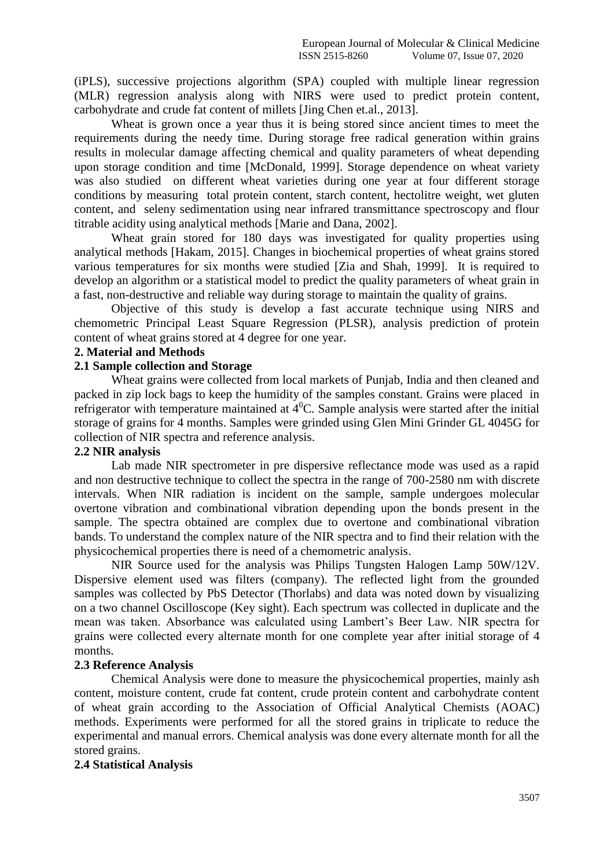(iPLS), successive projections algorithm (SPA) coupled with multiple linear regression (MLR) regression analysis along with NIRS were used to predict protein content, carbohydrate and crude fat content of millets [Jing Chen et.al., 2013].

Wheat is grown once a year thus it is being stored since ancient times to meet the requirements during the needy time. During storage free radical generation within grains results in molecular damage affecting chemical and quality parameters of wheat depending upon storage condition and time [McDonald, 1999]. Storage dependence on wheat variety was also studied on different wheat varieties during one year at four different storage conditions by measuring total protein content, starch content, hectolitre weight, wet gluten content, and seleny sedimentation using near infrared transmittance spectroscopy and flour titrable acidity using analytical methods [Marie and Dana, 2002].

Wheat grain stored for 180 days was investigated for quality properties using analytical methods [Hakam, 2015]. Changes in biochemical properties of wheat grains stored various temperatures for six months were studied [Zia and Shah, 1999]. It is required to develop an algorithm or a statistical model to predict the quality parameters of wheat grain in a fast, non-destructive and reliable way during storage to maintain the quality of grains.

Objective of this study is develop a fast accurate technique using NIRS and chemometric Principal Least Square Regression (PLSR), analysis prediction of protein content of wheat grains stored at 4 degree for one year.

#### **2. Material and Methods**

# **2.1 Sample collection and Storage**

Wheat grains were collected from local markets of Punjab, India and then cleaned and packed in zip lock bags to keep the humidity of the samples constant. Grains were placed in refrigerator with temperature maintained at  $4^{\circ}$ C. Sample analysis were started after the initial storage of grains for 4 months. Samples were grinded using Glen Mini Grinder GL 4045G for collection of NIR spectra and reference analysis.

#### **2.2 NIR analysis**

Lab made NIR spectrometer in pre dispersive reflectance mode was used as a rapid and non destructive technique to collect the spectra in the range of 700-2580 nm with discrete intervals. When NIR radiation is incident on the sample, sample undergoes molecular overtone vibration and combinational vibration depending upon the bonds present in the sample. The spectra obtained are complex due to overtone and combinational vibration bands. To understand the complex nature of the NIR spectra and to find their relation with the physicochemical properties there is need of a chemometric analysis.

NIR Source used for the analysis was Philips Tungsten Halogen Lamp 50W/12V. Dispersive element used was filters (company). The reflected light from the grounded samples was collected by PbS Detector (Thorlabs) and data was noted down by visualizing on a two channel Oscilloscope (Key sight). Each spectrum was collected in duplicate and the mean was taken. Absorbance was calculated using Lambert's Beer Law. NIR spectra for grains were collected every alternate month for one complete year after initial storage of 4 months.

#### **2.3 Reference Analysis**

Chemical Analysis were done to measure the physicochemical properties, mainly ash content, moisture content, crude fat content, crude protein content and carbohydrate content of wheat grain according to the Association of Official Analytical Chemists (AOAC) methods. Experiments were performed for all the stored grains in triplicate to reduce the experimental and manual errors. Chemical analysis was done every alternate month for all the stored grains.

# **2.4 Statistical Analysis**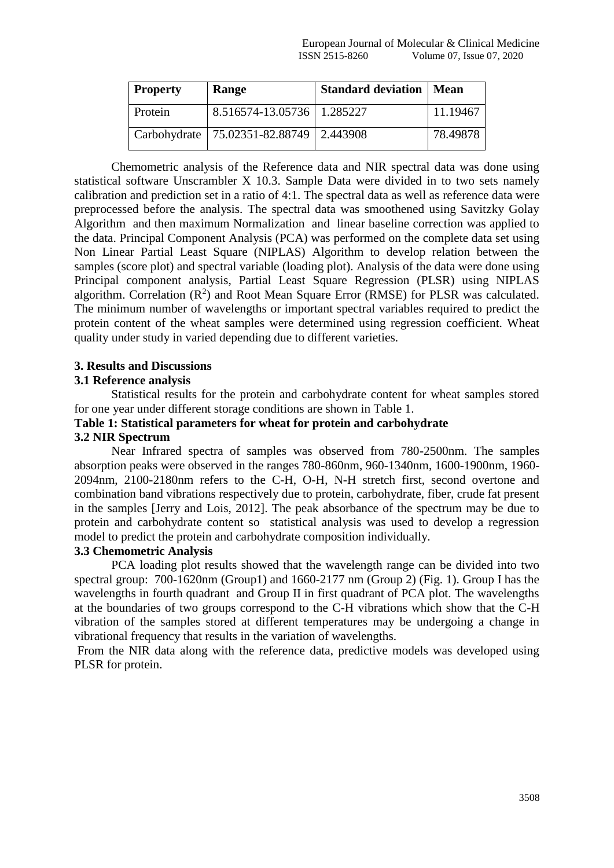| <b>Property</b> | Range                                       | <b>Standard deviation   Mean</b> |          |
|-----------------|---------------------------------------------|----------------------------------|----------|
| Protein         | 8.516574-13.05736   1.285227                |                                  | 11.19467 |
|                 | Carbohydrate   75.02351-82.88749   2.443908 |                                  | 78.49878 |

Chemometric analysis of the Reference data and NIR spectral data was done using statistical software Unscrambler X 10.3. Sample Data were divided in to two sets namely calibration and prediction set in a ratio of 4:1. The spectral data as well as reference data were preprocessed before the analysis. The spectral data was smoothened using Savitzky Golay Algorithm and then maximum Normalization and linear baseline correction was applied to the data. Principal Component Analysis (PCA) was performed on the complete data set using Non Linear Partial Least Square (NIPLAS) Algorithm to develop relation between the samples (score plot) and spectral variable (loading plot). Analysis of the data were done using Principal component analysis, Partial Least Square Regression (PLSR) using NIPLAS algorithm. Correlation  $(R^2)$  and Root Mean Square Error (RMSE) for PLSR was calculated. The minimum number of wavelengths or important spectral variables required to predict the protein content of the wheat samples were determined using regression coefficient. Wheat quality under study in varied depending due to different varieties.

# **3. Results and Discussions**

## **3.1 Reference analysis**

Statistical results for the protein and carbohydrate content for wheat samples stored for one year under different storage conditions are shown in Table 1.

# **Table 1: Statistical parameters for wheat for protein and carbohydrate**

# **3.2 NIR Spectrum**

Near Infrared spectra of samples was observed from 780-2500nm. The samples absorption peaks were observed in the ranges 780-860nm, 960-1340nm, 1600-1900nm, 1960- 2094nm, 2100-2180nm refers to the C-H, O-H, N-H stretch first, second overtone and combination band vibrations respectively due to protein, carbohydrate, fiber, crude fat present in the samples [Jerry and Lois, 2012]. The peak absorbance of the spectrum may be due to protein and carbohydrate content so statistical analysis was used to develop a regression model to predict the protein and carbohydrate composition individually.

# **3.3 Chemometric Analysis**

PCA loading plot results showed that the wavelength range can be divided into two spectral group: 700-1620nm (Group1) and 1660-2177 nm (Group 2) (Fig. 1). Group I has the wavelengths in fourth quadrant and Group II in first quadrant of PCA plot. The wavelengths at the boundaries of two groups correspond to the C-H vibrations which show that the C-H vibration of the samples stored at different temperatures may be undergoing a change in vibrational frequency that results in the variation of wavelengths.

From the NIR data along with the reference data, predictive models was developed using PLSR for protein.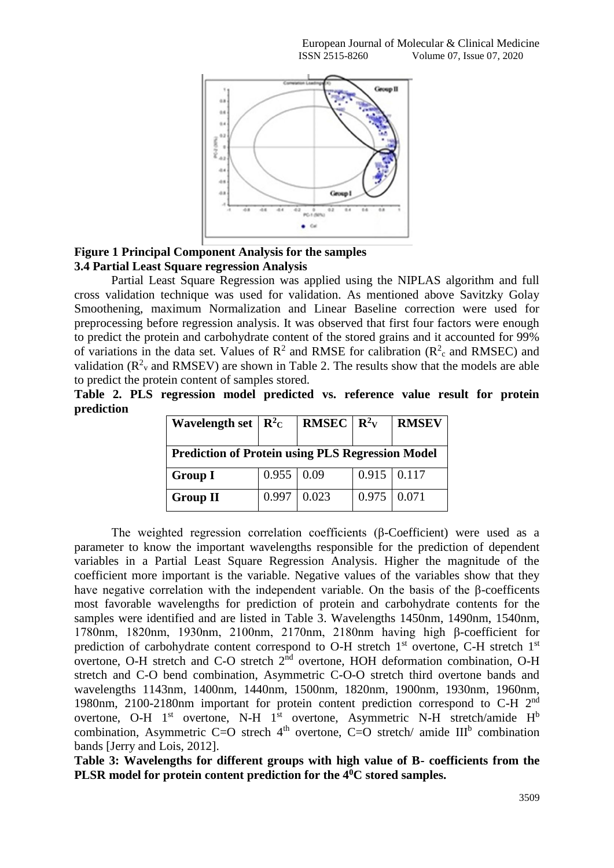

## **Figure 1 Principal Component Analysis for the samples 3.4 Partial Least Square regression Analysis**

Partial Least Square Regression was applied using the NIPLAS algorithm and full cross validation technique was used for validation. As mentioned above Savitzky Golay Smoothening, maximum Normalization and Linear Baseline correction were used for preprocessing before regression analysis. It was observed that first four factors were enough to predict the protein and carbohydrate content of the stored grains and it accounted for 99% of variations in the data set. Values of  $\mathbb{R}^2$  and RMSE for calibration ( $\mathbb{R}^2$  and RMSEC) and validation ( $\mathbb{R}^2$ <sub>v</sub> and RMSEV) are shown in Table 2. The results show that the models are able to predict the protein content of samples stored.

**Table 2. PLS regression model predicted vs. reference value result for protein prediction**

| Wavelength set $\vert R^2C \vert$                       |                   | <b>RMSEC</b>   $\mathbb{R}^2$ <sub>V</sub> |                    | <b>RMSEV</b> |  |  |
|---------------------------------------------------------|-------------------|--------------------------------------------|--------------------|--------------|--|--|
| <b>Prediction of Protein using PLS Regression Model</b> |                   |                                            |                    |              |  |  |
| <b>Group I</b>                                          | $0.955 \mid 0.09$ |                                            | $0.915 \mid 0.117$ |              |  |  |
| <b>Group II</b>                                         | 0.997             | 0.023                                      | 0.975              | 0.071        |  |  |

The weighted regression correlation coefficients (β-Coefficient) were used as a parameter to know the important wavelengths responsible for the prediction of dependent variables in a Partial Least Square Regression Analysis. Higher the magnitude of the coefficient more important is the variable. Negative values of the variables show that they have negative correlation with the independent variable. On the basis of the β-coefficents most favorable wavelengths for prediction of protein and carbohydrate contents for the samples were identified and are listed in Table 3. Wavelengths 1450nm, 1490nm, 1540nm, 1780nm, 1820nm, 1930nm, 2100nm, 2170nm, 2180nm having high β-coefficient for prediction of carbohydrate content correspond to O-H stretch  $1<sup>st</sup>$  overtone, C-H stretch  $1<sup>st</sup>$ overtone, O-H stretch and C-O stretch  $2<sup>nd</sup>$  overtone, HOH deformation combination, O-H stretch and C-O bend combination, Asymmetric C-O-O stretch third overtone bands and wavelengths 1143nm, 1400nm, 1440nm, 1500nm, 1820nm, 1900nm, 1930nm, 1960nm, 1980nm, 2100-2180nm important for protein content prediction correspond to C-H 2nd overtone, O-H  $1<sup>st</sup>$  overtone, N-H  $1<sup>st</sup>$  overtone, Asymmetric N-H stretch/amide H<sup>b</sup> combination, Asymmetric C=O strech  $4<sup>th</sup>$  overtone, C=O stretch/ amide III<sup>b</sup> combination bands [Jerry and Lois, 2012].

**Table 3: Wavelengths for different groups with high value of B- coefficients from the PLSR model for protein content prediction for the 40C stored samples.**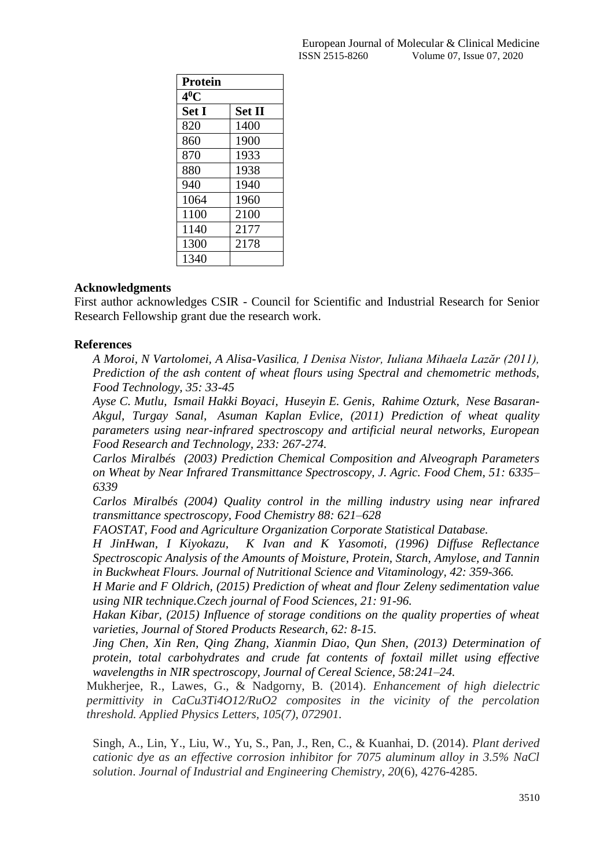| Protein      |               |  |  |  |
|--------------|---------------|--|--|--|
| $4^0$ C      |               |  |  |  |
| <b>Set I</b> | <b>Set II</b> |  |  |  |
| 820          | 1400          |  |  |  |
| 860          | 1900          |  |  |  |
| 870          | 1933          |  |  |  |
| 880          | 1938          |  |  |  |
| 940          | 1940          |  |  |  |
| 1064         | 1960          |  |  |  |
| 1100         | 2100          |  |  |  |
| 1140         | 2177          |  |  |  |
| 1300         | 2178          |  |  |  |
| 1340         |               |  |  |  |

## **Acknowledgments**

First author acknowledges CSIR - Council for Scientific and Industrial Research for Senior Research Fellowship grant due the research work.

## **References**

*A Moroi, N Vartolomei, A Alisa-Vasilica, I Denisa Nistor, Iuliana Mihaela Lazăr (2011), Prediction of the ash content of wheat flours using Spectral and chemometric methods, Food Technology, 35: 33-45*

*[Ayse C. Mutlu,](http://link.springer.com/search?facet-creator=%22Ayse+C.+Mutlu%22) [Ismail Hakki Boyaci,](http://link.springer.com/search?facet-creator=%22Ismail+Hakki+Boyaci%22) [Huseyin E. Genis,](http://link.springer.com/search?facet-creator=%22Huseyin+E.+Genis%22) [Rahime Ozturk,](http://link.springer.com/search?facet-creator=%22Rahime+Ozturk%22) [Nese Basaran-](http://link.springer.com/search?facet-creator=%22Nese+Basaran-Akgul%22)[Akgul,](http://link.springer.com/search?facet-creator=%22Nese+Basaran-Akgul%22) [Turgay Sanal,](http://link.springer.com/search?facet-creator=%22Turgay+Sanal%22) [Asuman Kaplan Evlice,](http://link.springer.com/search?facet-creator=%22Asuman+Kaplan+Evlice%22) (2011) Prediction of wheat quality parameters using near-infrared spectroscopy and artificial neural networks, European Food Research and Technology, 233: 267-274.*

*Carlos Miralbés (2003) Prediction Chemical Composition and Alveograph Parameters on Wheat by Near Infrared Transmittance Spectroscopy, J. Agric. Food Chem, 51: 6335– 6339*

*Carlos Miralbés (2004) Quality control in the milling industry using near infrared transmittance spectroscopy, Food Chemistry 88: 621–628*

*FAOSTAT, Food and Agriculture Organization Corporate Statistical Database.*

*H JinHwan, I Kiyokazu, K Ivan and K Yasomoti, (1996) Diffuse Reflectance Spectroscopic Analysis of the Amounts of Moisture, Protein, Starch, Amylose, and Tannin in Buckwheat Flours. Journal of Nutritional Science and Vitaminology, 42: 359-366.*

*H Marie and F Oldrich, (2015) Prediction of wheat and flour Zeleny sedimentation value using NIR technique.Czech journal of Food Sciences, 21: 91-96.*

*Hakan Kibar, (2015) Influence of storage conditions on the quality properties of wheat varieties, Journal of Stored Products Research, 62: 8-15.* 

*Jing Chen, Xin Ren, Qing Zhang, Xianmin Diao, Qun Shen, (2013) Determination of protein, total carbohydrates and crude fat contents of foxtail millet using effective wavelengths in NIR spectroscopy, Journal of Cereal Science, 58:241–24.*

Mukherjee, R., Lawes, G., & Nadgorny, B. (2014). *Enhancement of high dielectric permittivity in CaCu3Ti4O12/RuO2 composites in the vicinity of the percolation threshold. Applied Physics Letters, 105(7), 072901.*

Singh, A., Lin, Y., Liu, W., Yu, S., Pan, J., Ren, C., & Kuanhai, D. (2014). *Plant derived cationic dye as an effective corrosion inhibitor for 7075 aluminum alloy in 3.5% NaCl solution*. *Journal of Industrial and Engineering Chemistry*, *20*(6), 4276-4285.